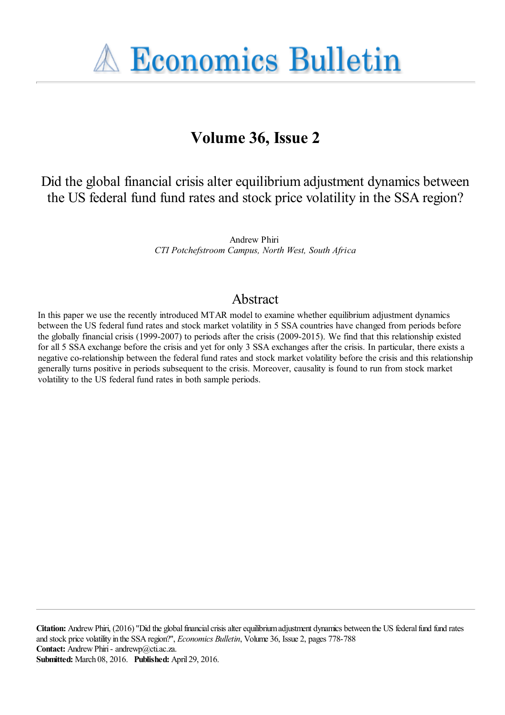**A Economics Bulletin** 

# **Volume 36, Issue 2**

Did the global financial crisis alter equilibrium adjustment dynamics between the US federal fund fund rates and stock price volatility in the SSA region?

> Andrew Phiri *CTI Potchefstroom Campus, North West, South Africa*

## Abstract

In this paper we use the recently introduced MTAR model to examine whether equilibrium adjustment dynamics between the US federal fund rates and stock market volatility in 5 SSA countries have changed from periods before the globally financial crisis (1999-2007) to periods after the crisis (2009-2015). We find that this relationship existed for all 5 SSA exchange before the crisis and yet for only 3 SSA exchanges after the crisis. In particular, there exists a negative co-relationship between the federal fund rates and stock market volatility before the crisis and this relationship generally turns positive in periods subsequent to the crisis. Moreover, causality is found to run from stock market volatility to the US federal fund rates in both sample periods.

**Citation:** Andrew Phiri, (2016) ''Did the global financial crisis alter equilibrium adjustment dynamics between the US federal fund fund rates and stock price volatility in the SSA region?'', *Economics Bulletin*, Volume 36, Issue 2, pages 778-788 **Contact:** Andrew Phiri - andrewp@cti.ac.za. **Submitted:** March 08, 2016. **Published:** April 29, 2016.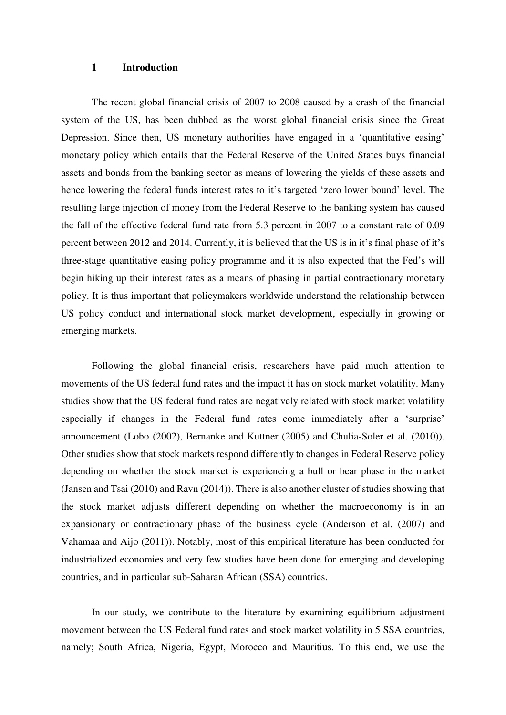#### **1 Introduction**

The recent global financial crisis of 2007 to 2008 caused by a crash of the financial system of the US, has been dubbed as the worst global financial crisis since the Great Depression. Since then, US monetary authorities have engaged in a 'quantitative easing' monetary policy which entails that the Federal Reserve of the United States buys financial assets and bonds from the banking sector as means of lowering the yields of these assets and hence lowering the federal funds interest rates to it's targeted 'zero lower bound' level. The resulting large injection of money from the Federal Reserve to the banking system has caused the fall of the effective federal fund rate from 5.3 percent in 2007 to a constant rate of 0.09 percent between 2012 and 2014. Currently, it is believed that the US is in it's final phase of it's three-stage quantitative easing policy programme and it is also expected that the Fed's will begin hiking up their interest rates as a means of phasing in partial contractionary monetary policy. It is thus important that policymakers worldwide understand the relationship between US policy conduct and international stock market development, especially in growing or emerging markets.

Following the global financial crisis, researchers have paid much attention to movements of the US federal fund rates and the impact it has on stock market volatility. Many studies show that the US federal fund rates are negatively related with stock market volatility especially if changes in the Federal fund rates come immediately after a 'surprise' announcement (Lobo (2002), Bernanke and Kuttner (2005) and Chulia-Soler et al. (2010)). Other studies show that stock markets respond differently to changes in Federal Reserve policy depending on whether the stock market is experiencing a bull or bear phase in the market (Jansen and Tsai (2010) and Ravn (2014)). There is also another cluster of studies showing that the stock market adjusts different depending on whether the macroeconomy is in an expansionary or contractionary phase of the business cycle (Anderson et al. (2007) and Vahamaa and Aijo (2011)). Notably, most of this empirical literature has been conducted for industrialized economies and very few studies have been done for emerging and developing countries, and in particular sub-Saharan African (SSA) countries.

In our study, we contribute to the literature by examining equilibrium adjustment movement between the US Federal fund rates and stock market volatility in 5 SSA countries, namely; South Africa, Nigeria, Egypt, Morocco and Mauritius. To this end, we use the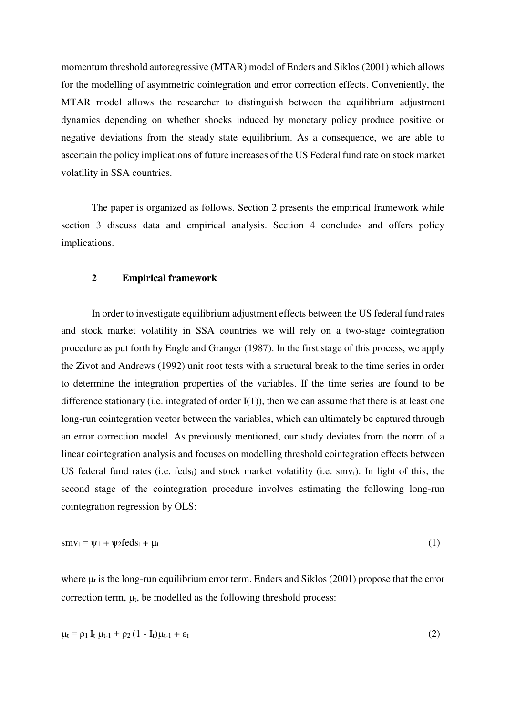momentum threshold autoregressive (MTAR) model of Enders and Siklos (2001) which allows for the modelling of asymmetric cointegration and error correction effects. Conveniently, the MTAR model allows the researcher to distinguish between the equilibrium adjustment dynamics depending on whether shocks induced by monetary policy produce positive or negative deviations from the steady state equilibrium. As a consequence, we are able to ascertain the policy implications of future increases of the US Federal fund rate on stock market volatility in SSA countries.

The paper is organized as follows. Section 2 presents the empirical framework while section 3 discuss data and empirical analysis. Section 4 concludes and offers policy implications.

### **2 Empirical framework**

In order to investigate equilibrium adjustment effects between the US federal fund rates and stock market volatility in SSA countries we will rely on a two-stage cointegration procedure as put forth by Engle and Granger (1987). In the first stage of this process, we apply the Zivot and Andrews (1992) unit root tests with a structural break to the time series in order to determine the integration properties of the variables. If the time series are found to be difference stationary (i.e. integrated of order  $I(1)$ ), then we can assume that there is at least one long-run cointegration vector between the variables, which can ultimately be captured through an error correction model. As previously mentioned, our study deviates from the norm of a linear cointegration analysis and focuses on modelling threshold cointegration effects between US federal fund rates (i.e. fedst) and stock market volatility (i.e.  $\text{smv}_t$ ). In light of this, the second stage of the cointegration procedure involves estimating the following long-run cointegration regression by OLS:

$$
smv_t = \psi_1 + \psi_2 feds_t + \mu_t \tag{1}
$$

where  $\mu_i$  is the long-run equilibrium error term. Enders and Siklos (2001) propose that the error correction term,  $\mu_t$ , be modelled as the following threshold process:

$$
\mu_t = \rho_1 I_t \mu_{t-1} + \rho_2 (1 - I_t) \mu_{t-1} + \varepsilon_t
$$
 (2)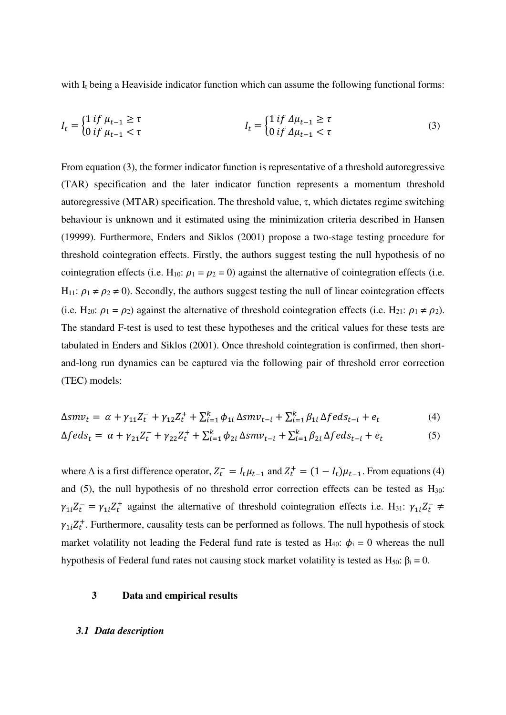with  $I_t$  being a Heaviside indicator function which can assume the following functional forms:

$$
I_t = \begin{cases} 1 & \text{if } \mu_{t-1} \ge \tau \\ 0 & \text{if } \mu_{t-1} < \tau \end{cases} \qquad I_t = \begin{cases} 1 & \text{if } \Delta \mu_{t-1} \ge \tau \\ 0 & \text{if } \Delta \mu_{t-1} < \tau \end{cases} \tag{3}
$$

From equation (3), the former indicator function is representative of a threshold autoregressive (TAR) specification and the later indicator function represents a momentum threshold autoregressive (MTAR) specification. The threshold value, τ, which dictates regime switching behaviour is unknown and it estimated using the minimization criteria described in Hansen (19999). Furthermore, Enders and Siklos (2001) propose a two-stage testing procedure for threshold cointegration effects. Firstly, the authors suggest testing the null hypothesis of no cointegration effects (i.e. H<sub>10</sub>:  $\rho_1 = \rho_2 = 0$ ) against the alternative of cointegration effects (i.e. H<sub>11</sub>:  $\rho_1 \neq \rho_2 \neq 0$ ). Secondly, the authors suggest testing the null of linear cointegration effects (i.e. H<sub>20</sub>:  $\rho_1 = \rho_2$ ) against the alternative of threshold cointegration effects (i.e. H<sub>21</sub>:  $\rho_1 \neq \rho_2$ ). The standard F-test is used to test these hypotheses and the critical values for these tests are tabulated in Enders and Siklos (2001). Once threshold cointegration is confirmed, then shortand-long run dynamics can be captured via the following pair of threshold error correction (TEC) models:

$$
\Delta smv_t = \alpha + \gamma_{11} Z_t^+ + \gamma_{12} Z_t^+ + \sum_{i=1}^k \phi_{1i} \, \Delta smv_{t-i} + \sum_{i=1}^k \beta_{1i} \, \Delta f e ds_{t-i} + e_t \tag{4}
$$

$$
\Delta f e d s_t = \alpha + \gamma_{21} Z_t^- + \gamma_{22} Z_t^+ + \sum_{i=1}^k \phi_{2i} \, \Delta s m v_{t-i} + \sum_{i=1}^k \beta_{2i} \, \Delta f e d s_{t-i} + e_t \tag{5}
$$

where  $\Delta$  is a first difference operator,  $Z_t^- = I_t \mu_{t-1}$  and  $Z_t^+ = (1 - I_t) \mu_{t-1}$ . From equations (4) and  $(5)$ , the null hypothesis of no threshold error correction effects can be tested as  $H_{30}$ :  $\gamma_{1i}Z_t^- = \gamma_{1i}Z_t^+$  against the alternative of threshold cointegration effects i.e. H<sub>31</sub>:  $\gamma_{1i}Z_t^ \neq$  $\gamma_{1i}Z_t^+$ . Furthermore, causality tests can be performed as follows. The null hypothesis of stock market volatility not leading the Federal fund rate is tested as  $H_{40}$ :  $\phi_i = 0$  whereas the null hypothesis of Federal fund rates not causing stock market volatility is tested as H<sub>50</sub>:  $β<sub>i</sub> = 0$ .

#### **3 Data and empirical results**

#### *3.1 Data description*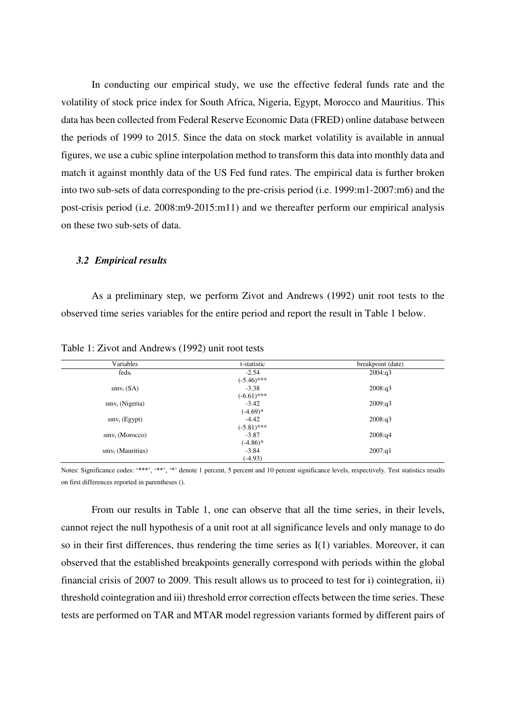In conducting our empirical study, we use the effective federal funds rate and the volatility of stock price index for South Africa, Nigeria, Egypt, Morocco and Mauritius. This data has been collected from Federal Reserve Economic Data (FRED) online database between the periods of 1999 to 2015. Since the data on stock market volatility is available in annual figures, we use a cubic spline interpolation method to transform this data into monthly data and match it against monthly data of the US Fed fund rates. The empirical data is further broken into two sub-sets of data corresponding to the pre-crisis period (i.e. 1999:m1-2007:m6) and the post-crisis period (i.e. 2008:m9-2015:m11) and we thereafter perform our empirical analysis on these two sub-sets of data.

#### *3.2 Empirical results*

As a preliminary step, we perform Zivot and Andrews (1992) unit root tests to the observed time series variables for the entire period and report the result in Table 1 below.

| Variables           | t-statistic   | breakpoint (date) |
|---------------------|---------------|-------------------|
| $feds_t$            | $-2.54$       | 2004:q3           |
|                     | $(-5.46)$ *** |                   |
| $smv_{t}$ (SA)      | $-3.38$       | 2008:q3           |
|                     | $(-6.61)$ *** |                   |
| $smv_t$ (Nigeria)   | $-3.42$       | 2009:q3           |
|                     | $(-4.69)*$    |                   |
| $smv_t$ (Egypt)     | $-4.42$       | 2008:q3           |
|                     | $(-5.81)$ *** |                   |
| $smvt$ (Morocco)    | $-3.87$       | 2008:q4           |
|                     | $(-4.86)$ *   |                   |
| $smv_t$ (Mauritius) | $-3.84$       | 2007:q1           |
|                     | $(-4.93)$     |                   |

Table 1: Zivot and Andrews (1992) unit root tests

Notes: Significance codes: '\*\*\*', '\*\*', '\*' denote 1 percent, 5 percent and 10 percent significance levels, respectively. Test statistics results on first differences reported in parentheses ().

From our results in Table 1, one can observe that all the time series, in their levels, cannot reject the null hypothesis of a unit root at all significance levels and only manage to do so in their first differences, thus rendering the time series as I(1) variables. Moreover, it can observed that the established breakpoints generally correspond with periods within the global financial crisis of 2007 to 2009. This result allows us to proceed to test for i) cointegration, ii) threshold cointegration and iii) threshold error correction effects between the time series. These tests are performed on TAR and MTAR model regression variants formed by different pairs of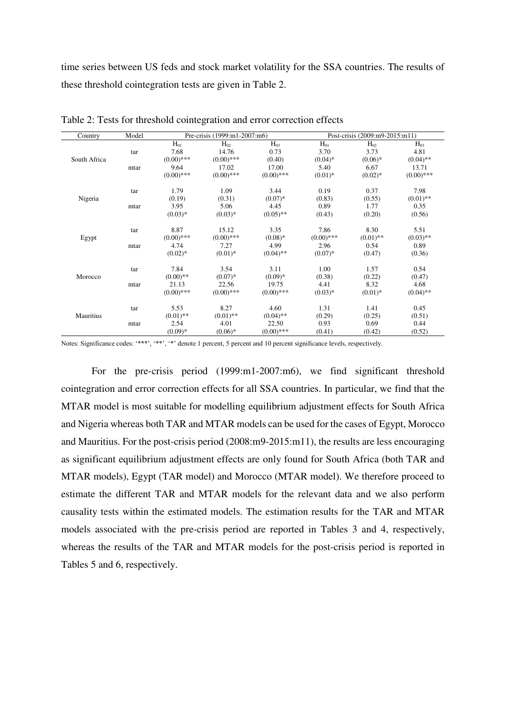time series between US feds and stock market volatility for the SSA countries. The results of these threshold cointegration tests are given in Table 2.

| Country      | Model |              | Pre-crisis (1999:m1-2007:m6) |              |              | Post-crisis (2009:m9-2015:m11) |              |
|--------------|-------|--------------|------------------------------|--------------|--------------|--------------------------------|--------------|
|              |       | $H_{01}$     | $H_{02}$                     | $H_{03}$     | $H_{01}$     | $H_{02}$                       | $H_{03}$     |
|              | tar   | 7.68         | 14.76                        | 0.73         | 3.70         | 3.73                           | 4.81         |
| South Africa |       | $(0.00)$ *** | $(0.00)$ ***                 | (0.40)       | $(0.04)$ *   | $(0.06)*$                      | $(0.04)$ **  |
|              | mtar  | 9.64         | 17.02                        | 17.00        | 5.40         | 6.67                           | 13.71        |
|              |       | $(0.00)$ *** | $(0.00)$ ***                 | $(0.00)$ *** | $(0.01)^*$   | $(0.02)$ *                     | $(0.00)$ *** |
|              | tar   | 1.79         | 1.09                         | 3.44         | 0.19         | 0.37                           | 7.98         |
| Nigeria      |       | (0.19)       | (0.31)                       | $(0.07)*$    | (0.83)       | (0.55)                         | $(0.01)$ **  |
|              | mtar  | 3.95         | 5.06                         | 4.45         | 0.89         | 1.77                           | 0.35         |
|              |       | $(0.03)*$    | $(0.03)*$                    | $(0.05)$ **  | (0.43)       | (0.20)                         | (0.56)       |
|              | tar   | 8.87         | 15.12                        | 3.35         | 7.86         | 8.30                           | 5.51         |
| Egypt        |       | $(0.00)$ *** | $(0.00)$ ***                 | $(0.08)*$    | $(0.00)$ *** | $(0.01)$ **                    | $(0.03)$ **  |
|              | mtar  | 4.74         | 7.27                         | 4.99         | 2.96         | 0.54                           | 0.89         |
|              |       | $(0.02)*$    | $(0.01)*$                    | $(0.04)$ **  | $(0.07)*$    | (0.47)                         | (0.36)       |
|              | tar   | 7.84         | 3.54                         | 3.11         | 1.00         | 1.57                           | 0.54         |
| Morocco      |       | $(0.00)$ **  | $(0.07)*$                    | $(0.09)*$    | (0.38)       | (0.22)                         | (0.47)       |
|              | mtar  | 21.13        | 22.56                        | 19.75        | 4.41         | 8.32                           | 4.68         |
|              |       | $(0.00)$ *** | $(0.00)$ ***                 | $(0.00)$ *** | $(0.03)*$    | $(0.01)^*$                     | $(0.04)$ **  |
|              | tar   | 5.53         | 8.27                         | 4.60         | 1.31         | 1.41                           | 0.45         |
| Mauritius    |       | $(0.01)$ **  | $(0.01)$ **                  | $(0.04)$ **  | (0.29)       | (0.25)                         | (0.51)       |
|              | mtar  | 2.54         | 4.01                         | 22.50        | 0.93         | 0.69                           | 0.44         |
|              |       | $(0.09)*$    | $(0.06)*$                    | $(0.00)$ *** | (0.41)       | (0.42)                         | (0.52)       |

Table 2: Tests for threshold cointegration and error correction effects

Notes: Significance codes: '\*\*\*', '\*\*', '\*\*' denote 1 percent, 5 percent and 10 percent significance levels, respectively.

For the pre-crisis period (1999:m1-2007:m6), we find significant threshold cointegration and error correction effects for all SSA countries. In particular, we find that the MTAR model is most suitable for modelling equilibrium adjustment effects for South Africa and Nigeria whereas both TAR and MTAR models can be used for the cases of Egypt, Morocco and Mauritius. For the post-crisis period (2008:m9-2015:m11), the results are less encouraging as significant equilibrium adjustment effects are only found for South Africa (both TAR and MTAR models), Egypt (TAR model) and Morocco (MTAR model). We therefore proceed to estimate the different TAR and MTAR models for the relevant data and we also perform causality tests within the estimated models. The estimation results for the TAR and MTAR models associated with the pre-crisis period are reported in Tables 3 and 4, respectively, whereas the results of the TAR and MTAR models for the post-crisis period is reported in Tables 5 and 6, respectively.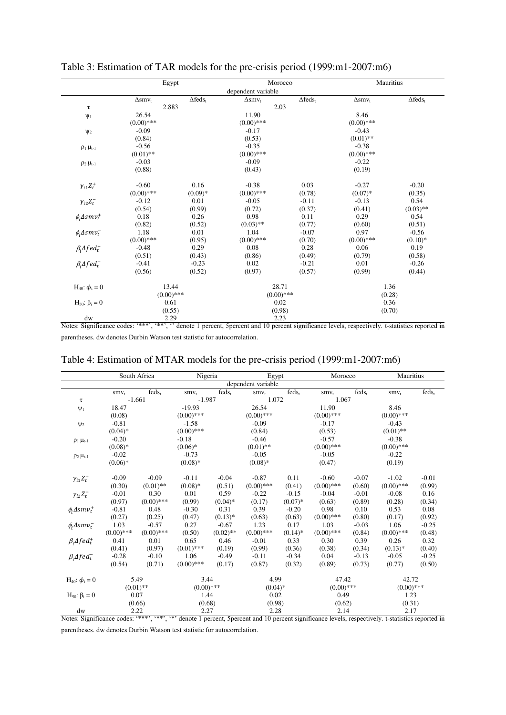|                               | Egypt             |                        | Morocco            |                 | Mauritius         |                 |  |
|-------------------------------|-------------------|------------------------|--------------------|-----------------|-------------------|-----------------|--|
|                               |                   |                        | dependent variable |                 |                   |                 |  |
|                               | $\Delta$ sm $v_t$ | $\Delta \text{feds}_t$ | $\Delta$ sm $v_t$  | $\Delta feds_t$ | $\Delta$ sm $v_t$ | $\Delta feds_t$ |  |
| τ                             | 2.883             |                        | 2.03               |                 |                   |                 |  |
| $\Psi_1$                      | 26.54             |                        | 11.90              |                 | 8.46              |                 |  |
|                               | $(0.00)$ ***      |                        | $(0.00)$ ***       |                 | $(0.00)$ ***      |                 |  |
| $\Psi$ <sub>2</sub>           | $-0.09$           |                        | $-0.17$            |                 | $-0.43$           |                 |  |
|                               | (0.84)            |                        | (0.53)             |                 | $(0.01)$ **       |                 |  |
| $\rho_1 \mu_{t-1}$            | $-0.56$           |                        | $-0.35$            |                 | $-0.38$           |                 |  |
|                               | $(0.01)$ **       |                        | $(0.00)$ ***       |                 | $(0.00)$ ***      |                 |  |
| $\rho_2$ $\mu_{t-1}$          | $-0.03$           |                        | $-0.09$            |                 | $-0.22$           |                 |  |
|                               | (0.88)            |                        | (0.43)             |                 | (0.19)            |                 |  |
| $\gamma_{i1}Z_t^+$            | $-0.60$           | 0.16                   | $-0.38$            | 0.03            | $-0.27$           | $-0.20$         |  |
|                               | $(0.00)$ ***      | $(0.09)*$              | $(0.00)$ ***       | (0.78)          | $(0.07)*$         | (0.35)          |  |
| $\gamma_{i2}Z_t^-$            | $-0.12$           | 0.01                   | $-0.05$            | $-0.11$         | $-0.13$           | 0.54            |  |
|                               | (0.54)            | (0.99)                 | (0.72)             | (0.37)          | (0.41)            | $(0.03)$ **     |  |
| $\phi_i \Delta smv_t^+$       | 0.18              | 0.26                   | 0.98               | 0.11            | 0.29              | 0.54            |  |
|                               | (0.82)            | (0.52)                 | $(0.03)$ **        | (0.77)          | (0.60)            | (0.51)          |  |
| $\phi_i \Delta smv_t^-$       | 1.18              | 0.01                   | 1.04               | $-0.07$         | 0.97              | $-0.56$         |  |
|                               | $(0.00)$ ***      | (0.95)                 | $(0.00)$ ***       | (0.70)          | $(0.00)$ ***      | $(0.10)*$       |  |
| $\beta_i \Delta f e d_t^+$    | $-0.48$           | 0.29                   | 0.08               | 0.28            | 0.06              | 0.19            |  |
|                               | (0.51)            | (0.43)                 | (0.86)             | (0.49)          | (0.79)            | (0.58)          |  |
| $\beta_i \Delta f e d_t^-$    | $-0.41$           | $-0.23$                | 0.02               | $-0.21$         | 0.01              | $-0.26$         |  |
|                               | (0.56)            | (0.52)                 | (0.97)             | (0.57)          | (0.99)            | (0.44)          |  |
| $H_{40}$ : $\phi_i = 0$       | 13.44             |                        | 28.71              |                 |                   | 1.36            |  |
|                               | $(0.00)$ ***      |                        | $(0.00)$ ***       |                 |                   | (0.28)          |  |
| $H_{50}$ : β <sub>i</sub> = 0 | 0.61              |                        | 0.02               |                 | 0.36              |                 |  |
|                               | (0.55)            |                        | (0.98)             |                 |                   | (0.70)          |  |
| dw                            | 2.29              |                        | 2.23               |                 |                   |                 |  |

Table 3: Estimation of TAR models for the pre-crisis period (1999:m1-2007:m6)

Notes: Significance codes: '\*\*\*', '\*\*', '' denote 1 percent, 5percent and 10 percent significance levels, respectively. t-statistics reported in parentheses. dw denotes Durbin Watson test statistic for autocorrelation.

|  | Table 4: Estimation of MTAR models for the pre-crisis period (1999:m1-2007:m6) |
|--|--------------------------------------------------------------------------------|
|--|--------------------------------------------------------------------------------|

|                               |              | South Africa | Nigeria      |             | Egypt              |            | Morocco      |          | Mauritius    |          |
|-------------------------------|--------------|--------------|--------------|-------------|--------------------|------------|--------------|----------|--------------|----------|
|                               |              |              |              |             | dependent variable |            |              |          |              |          |
|                               | $smv_t$      | $feds_t$     | $smv_{t}$    | $feds_t$    | $smv_t$            | $feds_t$   | $smv_{t}$    | $feds_t$ | $smv_{t}$    | $feds_t$ |
| τ                             | $-1.661$     |              | $-1.987$     |             | 1.072              |            | 1.067        |          |              |          |
| $\Psi_1$                      | 18.47        |              | $-19.93$     |             | 26.54              |            | 11.90        |          | 8.46         |          |
|                               | (0.08)       |              | $(0.00)$ *** |             | $(0.00)$ ***       |            | $(0.00)$ *** |          | $(0.00)$ *** |          |
| $\Psi_2$                      | $-0.81$      |              | $-1.58$      |             | $-0.09$            |            | $-0.17$      |          | $-0.43$      |          |
|                               | $(0.04)*$    |              | $(0.00)$ *** |             | (0.84)             |            | (0.53)       |          | $(0.01)$ **  |          |
| $\rho_1 \mu_{t-1}$            | $-0.20$      |              | $-0.18$      |             | $-0.46$            |            | $-0.57$      |          | $-0.38$      |          |
|                               | $(0.08)*$    |              | $(0.06)*$    |             | $(0.01)$ **        |            | $(0.00)$ *** |          | $(0.00)$ *** |          |
| $\rho_2 \mu_{t-1}$            | $-0.02$      |              | $-0.73$      |             | $-0.05$            |            | $-0.05$      |          | $-0.22$      |          |
|                               | $(0.06)*$    |              | $(0.08)*$    |             | $(0.08)$ *         |            | (0.47)       |          | (0.19)       |          |
| $\gamma_{i1}Z_t^+$            | $-0.09$      | $-0.09$      | $-0.11$      | $-0.04$     | $-0.87$            | 0.11       | $-0.60$      | $-0.07$  | $-1.02$      | $-0.01$  |
|                               | (0.30)       | $(0.01)$ **  | $(0.08)*$    | (0.51)      | $(0.00)$ ***       | (0.41)     | $(0.00)$ *** | (0.60)   | $(0.00)$ *** | (0.99)   |
| $\gamma_{i2}Z_t^-$            | $-0.01$      | 0.30         | 0.01         | 0.59        | $-0.22$            | $-0.15$    | $-0.04$      | $-0.01$  | $-0.08$      | 0.16     |
|                               | (0.97)       | $(0.00)$ *** | (0.99)       | $(0.04)$ *  | (0.17)             | $(0.07)*$  | (0.63)       | (0.89)   | (0.28)       | (0.34)   |
| $\phi_i \Delta smv_t^+$       | $-0.81$      | 0.48         | $-0.30$      | 0.31        | 0.39               | $-0.20$    | 0.98         | 0.10     | 0.53         | 0.08     |
|                               | (0.27)       | (0.25)       | (0.47)       | $(0.13)*$   | (0.63)             | (0.63)     | $(0.00)$ *** | (0.80)   | (0.17)       | (0.92)   |
| $\phi_i \Delta smv_t^-$       | 1.03         | $-0.57$      | 0.27         | $-0.67$     | 1.23               | 0.17       | 1.03         | $-0.03$  | 1.06         | $-0.25$  |
|                               | $(0.00)$ *** | $(0.00)$ *** | (0.50)       | $(0.02)$ ** | $(0.00)$ ***       | $(0.14)$ * | $(0.00)$ *** | (0.84)   | $(0.00)$ *** | (0.48)   |
| $\beta_i \Delta f e d_t^+$    | 0.41         | 0.01         | 0.65         | 0.46        | $-0.01$            | 0.33       | 0.30         | 0.39     | 0.26         | 0.32     |
|                               | (0.41)       | (0.97)       | $(0.01)$ *** | (0.19)      | (0.99)             | (0.36)     | (0.38)       | (0.34)   | $(0.13)*$    | (0.40)   |
| $\beta_i \Delta f e d_t^-$    | $-0.28$      | $-0.10$      | 1.06         | $-0.49$     | $-0.11$            | $-0.34$    | 0.04         | $-0.13$  | $-0.05$      | $-0.25$  |
|                               | (0.54)       | (0.71)       | $(0.00)$ *** | (0.17)      | (0.87)             | (0.32)     | (0.89)       | (0.73)   | (0.77)       | (0.50)   |
| $H_{40}$ : $\phi_i = 0$       |              | 5.49         | 3.44         |             | 4.99               |            | 47.42        |          | 42.72        |          |
|                               |              | $(0.01)$ **  | $(0.00)$ *** |             | $(0.04)$ *         |            | $(0.00)$ *** |          | $(0.00)$ *** |          |
| $H_{50}$ : β <sub>i</sub> = 0 | 0.07         |              | 1.44         |             | 0.02               |            | 0.49         |          | 1.23         |          |
|                               |              | (0.66)       | (0.68)       |             | (0.98)             |            | (0.62)       |          | (0.31)       |          |
| dw                            |              | 2.22         | 2.27         |             | 2.28               |            | 2.14         |          | 2.17         |          |

Notes: Significance codes: '\*\*\*', '\*\*', '\*' denote 1 percent, 5 percent and 10 percent significance levels, respectively. t-statistics reported in parentheses. dw denotes Durbin Watson test statistic for autocorrelation.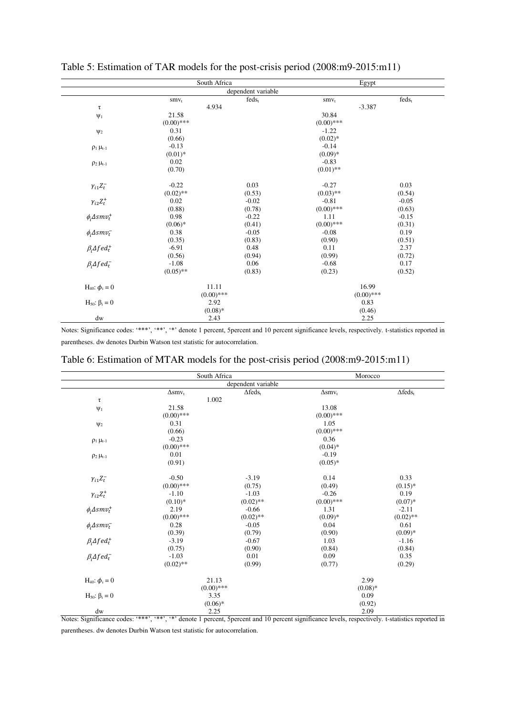|                            | South Africa |                    | Egypt        |          |
|----------------------------|--------------|--------------------|--------------|----------|
|                            |              | dependent variable |              |          |
|                            | $smv_t$      | $feds_t$           | $smv_t$      | $feds_t$ |
| $\tau$                     | 4.934        |                    | $-3.387$     |          |
| $\Psi_1$                   | 21.58        |                    | 30.84        |          |
|                            | $(0.00)$ *** |                    | $(0.00)$ *** |          |
| $\Psi$ <sub>2</sub>        | 0.31         |                    | $-1.22$      |          |
|                            | (0.66)       |                    | $(0.02)*$    |          |
| $\rho_1 \mu_{t-1}$         | $-0.13$      |                    | $-0.14$      |          |
|                            | $(0.01)*$    |                    | $(0.09)*$    |          |
| $\rho_2 \mu_{t-1}$         | 0.02         |                    | $-0.83$      |          |
|                            | (0.70)       |                    | $(0.01)$ **  |          |
| $\gamma_{i1}Z^-_t$         | $-0.22$      | 0.03               | $-0.27$      | 0.03     |
|                            | $(0.02)$ **  | (0.53)             | $(0.03)$ **  | (0.54)   |
| $\gamma_{i2}Z_t^+$         | 0.02         | $-0.02$            | $-0.81$      | $-0.05$  |
|                            | (0.88)       | (0.78)             | $(0.00)$ *** | (0.63)   |
| $\phi_i \Delta smv_t^+$    | 0.98         | $-0.22$            | 1.11         | $-0.15$  |
|                            | $(0.06)*$    | (0.41)             | $(0.00)$ *** | (0.31)   |
| $\phi_i \Delta smv_t^-$    | 0.38         | $-0.05$            | $-0.08$      | 0.19     |
|                            | (0.35)       | (0.83)             | (0.90)       | (0.51)   |
| $\beta_i \Delta f e d_t^+$ | $-6.91$      | 0.48               | 0.11         | 2.37     |
|                            | (0.56)       | (0.94)             | (0.99)       | (0.72)   |
| $\beta_i \Delta f e d_t^-$ | $-1.08$      | 0.06               | $-0.68$      | 0.17     |
|                            | $(0.05)$ **  | (0.83)             | (0.23)       | (0.52)   |
| $H_{40}$ : $\phi_i = 0$    | 11.11        |                    | 16.99        |          |
|                            | $(0.00)$ *** |                    | $(0.00)$ *** |          |
| $H50: βi = 0$              | 2.92         |                    | 0.83         |          |
|                            | $(0.08)$ *   |                    | (0.46)       |          |
| dw                         | 2.43         |                    | 2.25         |          |

Table 5: Estimation of TAR models for the post-crisis period (2008:m9-2015:m11)

Notes: Significance codes: '\*\*\*', '\*\*', '\*\*' denote 1 percent, 5 percent and 10 percent significance levels, respectively. t-statistics reported in parentheses. dw denotes Durbin Watson test statistic for autocorrelation.

|  |  | Table 6: Estimation of MTAR models for the post-crisis period (2008:m9-2015:m11) |  |
|--|--|----------------------------------------------------------------------------------|--|
|--|--|----------------------------------------------------------------------------------|--|

|                            | South Africa                 |                    |                   | Morocco         |  |  |
|----------------------------|------------------------------|--------------------|-------------------|-----------------|--|--|
|                            |                              | dependent variable |                   |                 |  |  |
|                            | $\Delta \text{smv}_\text{t}$ | $\Delta feds_t$    | $\Delta$ sm $v_t$ | $\Delta feds_t$ |  |  |
| $\tau$                     |                              | 1.002              |                   |                 |  |  |
| $\Psi_1$                   | 21.58                        |                    | 13.08             |                 |  |  |
|                            | $(0.00)$ ***                 |                    | $(0.00)$ ***      |                 |  |  |
| $\Psi_2$                   | 0.31                         |                    | 1.05              |                 |  |  |
|                            | (0.66)                       |                    | $(0.00)$ ***      |                 |  |  |
| $\rho_1 \mu_{t-1}$         | $-0.23$                      |                    | 0.36              |                 |  |  |
|                            | $(0.00)$ ***                 |                    | $(0.04)$ *        |                 |  |  |
| $\rho_2 \mu_{t-1}$         | 0.01                         |                    | $-0.19$           |                 |  |  |
|                            | (0.91)                       |                    | $(0.05)*$         |                 |  |  |
| $\gamma_{i1}Z_t^-$         | $-0.50$                      | $-3.19$            | 0.14              | 0.33            |  |  |
|                            | $(0.00)$ ***                 | (0.75)             | (0.49)            | $(0.15)*$       |  |  |
| $\gamma_{i2}Z_t^+$         | $-1.10$                      | $-1.03$            | $-0.26$           | 0.19            |  |  |
|                            | $(0.10)*$                    | $(0.02)$ **        | $(0.00)$ ***      | $(0.07)*$       |  |  |
| $\phi_i \Delta smv_t^+$    | 2.19                         | $-0.66$            | 1.31              | $-2.11$         |  |  |
|                            | $(0.00)$ ***                 | $(0.02)$ **        | $(0.09)*$         | $(0.02)$ **     |  |  |
| $\phi_i \Delta smv_t^-$    | 0.28                         | $-0.05$            | 0.04              | 0.61            |  |  |
|                            | (0.39)                       | (0.79)             | (0.90)            | $(0.09)*$       |  |  |
| $\beta_i \Delta f e d_t^+$ | $-3.19$                      | $-0.67$            | 1.03              | $-1.16$         |  |  |
|                            | (0.75)                       | (0.90)             | (0.84)            | (0.84)          |  |  |
| $\beta_i \Delta f e d_t^-$ | $-1.03$                      | 0.01               | 0.09              | 0.35            |  |  |
|                            | $(0.02)$ **                  | (0.99)             | (0.77)            | (0.29)          |  |  |
| $H_{40}$ : $\phi_i = 0$    | 21.13                        |                    | 2.99              |                 |  |  |
|                            | $(0.00)$ ***                 |                    | $(0.08)$ *        |                 |  |  |
| $H50: βi = 0$              | 3.35                         |                    | 0.09              |                 |  |  |
|                            |                              | $(0.06)*$          |                   | (0.92)          |  |  |
| dw                         |                              | 2.25               |                   | 2.09            |  |  |

Notes: Significance codes: '\*\*\*', '\*\*', '\*' denote 1 percent, 5 percent and 10 percent significance levels, respectively. t-statistics reported in parentheses. dw denotes Durbin Watson test statistic for autocorrelation.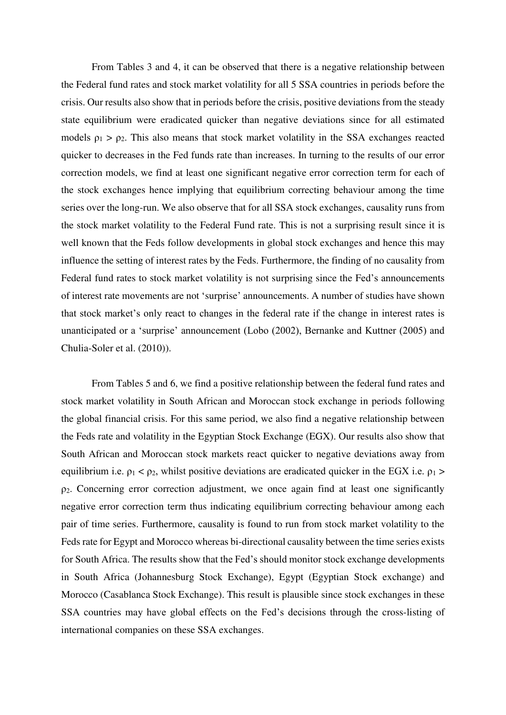From Tables 3 and 4, it can be observed that there is a negative relationship between the Federal fund rates and stock market volatility for all 5 SSA countries in periods before the crisis. Our results also show that in periods before the crisis, positive deviations from the steady state equilibrium were eradicated quicker than negative deviations since for all estimated models  $\rho_1 > \rho_2$ . This also means that stock market volatility in the SSA exchanges reacted quicker to decreases in the Fed funds rate than increases. In turning to the results of our error correction models, we find at least one significant negative error correction term for each of the stock exchanges hence implying that equilibrium correcting behaviour among the time series over the long-run. We also observe that for all SSA stock exchanges, causality runs from the stock market volatility to the Federal Fund rate. This is not a surprising result since it is well known that the Feds follow developments in global stock exchanges and hence this may influence the setting of interest rates by the Feds. Furthermore, the finding of no causality from Federal fund rates to stock market volatility is not surprising since the Fed's announcements of interest rate movements are not 'surprise' announcements. A number of studies have shown that stock market's only react to changes in the federal rate if the change in interest rates is unanticipated or a 'surprise' announcement (Lobo (2002), Bernanke and Kuttner (2005) and Chulia-Soler et al. (2010)).

From Tables 5 and 6, we find a positive relationship between the federal fund rates and stock market volatility in South African and Moroccan stock exchange in periods following the global financial crisis. For this same period, we also find a negative relationship between the Feds rate and volatility in the Egyptian Stock Exchange (EGX). Our results also show that South African and Moroccan stock markets react quicker to negative deviations away from equilibrium i.e.  $\rho_1 < \rho_2$ , whilst positive deviations are eradicated quicker in the EGX i.e.  $\rho_1$  > ρ2. Concerning error correction adjustment, we once again find at least one significantly negative error correction term thus indicating equilibrium correcting behaviour among each pair of time series. Furthermore, causality is found to run from stock market volatility to the Feds rate for Egypt and Morocco whereas bi-directional causality between the time series exists for South Africa. The results show that the Fed's should monitor stock exchange developments in South Africa (Johannesburg Stock Exchange), Egypt (Egyptian Stock exchange) and Morocco (Casablanca Stock Exchange). This result is plausible since stock exchanges in these SSA countries may have global effects on the Fed's decisions through the cross-listing of international companies on these SSA exchanges.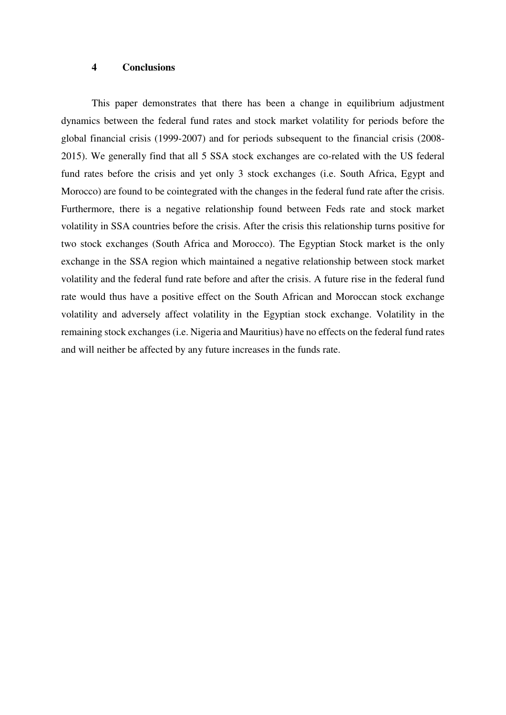#### **4 Conclusions**

This paper demonstrates that there has been a change in equilibrium adjustment dynamics between the federal fund rates and stock market volatility for periods before the global financial crisis (1999-2007) and for periods subsequent to the financial crisis (2008- 2015). We generally find that all 5 SSA stock exchanges are co-related with the US federal fund rates before the crisis and yet only 3 stock exchanges (i.e. South Africa, Egypt and Morocco) are found to be cointegrated with the changes in the federal fund rate after the crisis. Furthermore, there is a negative relationship found between Feds rate and stock market volatility in SSA countries before the crisis. After the crisis this relationship turns positive for two stock exchanges (South Africa and Morocco). The Egyptian Stock market is the only exchange in the SSA region which maintained a negative relationship between stock market volatility and the federal fund rate before and after the crisis. A future rise in the federal fund rate would thus have a positive effect on the South African and Moroccan stock exchange volatility and adversely affect volatility in the Egyptian stock exchange. Volatility in the remaining stock exchanges (i.e. Nigeria and Mauritius) have no effects on the federal fund rates and will neither be affected by any future increases in the funds rate.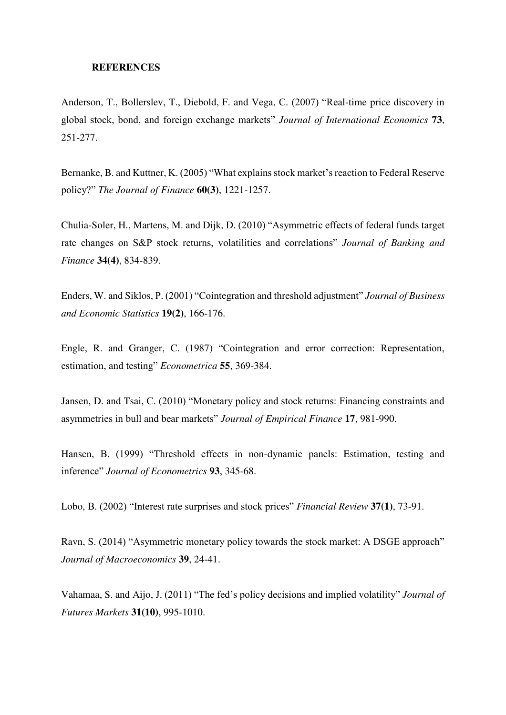#### **REFERENCES**

Anderson, T., Bollerslev, T., Diebold, F. and Vega, C. (2007) "Real-time price discovery in global stock, bond, and foreign exchange markets" *Journal of International Economics* **73**, 251-277.

Bernanke, B. and Kuttner, K. (2005) "What explains stock market's reaction to Federal Reserve policy?" *The Journal of Finance* **60(3)**, 1221-1257.

Chulia-Soler, H., Martens, M. and Dijk, D. (2010) "Asymmetric effects of federal funds target rate changes on S&P stock returns, volatilities and correlations" *Journal of Banking and Finance* **34(4)**, 834-839.

Enders, W. and Siklos, P. (2001) "Cointegration and threshold adjustment" *Journal of Business and Economic Statistics* **19(2)**, 166-176.

Engle, R. and Granger, C. (1987) "Cointegration and error correction: Representation, estimation, and testing" *Econometrica* **55**, 369-384.

Jansen, D. and Tsai, C. (2010) "Monetary policy and stock returns: Financing constraints and asymmetries in bull and bear markets" *Journal of Empirical Finance* **17**, 981-990.

Hansen, B. (1999) "Threshold effects in non-dynamic panels: Estimation, testing and inference" *Journal of Econometrics* **93**, 345-68.

Lobo, B. (2002) "Interest rate surprises and stock prices" *Financial Review* **37(1)**, 73-91.

Ravn, S. (2014) "Asymmetric monetary policy towards the stock market: A DSGE approach" *Journal of Macroeconomics* **39**, 24-41.

Vahamaa, S. and Aijo, J. (2011) "The fed's policy decisions and implied volatility" *Journal of Futures Markets* **31(10)**, 995-1010.